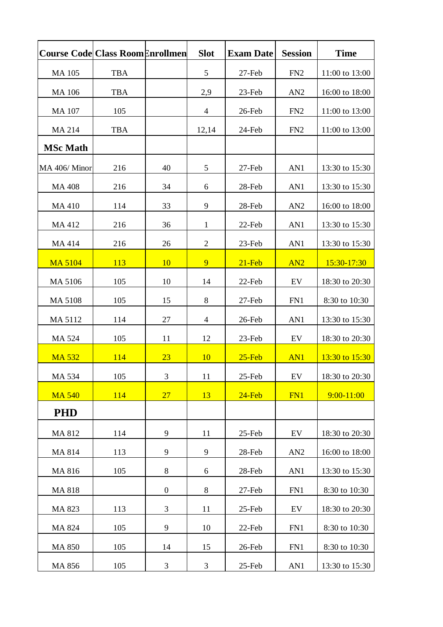| <b>Course Code Class RoomEnrollmen</b> |            |                  | <b>Slot</b>    | <b>Exam Date</b> | <b>Session</b>             | <b>Time</b>    |
|----------------------------------------|------------|------------------|----------------|------------------|----------------------------|----------------|
| <b>MA105</b>                           | <b>TBA</b> |                  | 5              | 27-Feb           | FN <sub>2</sub>            | 11:00 to 13:00 |
| <b>MA106</b>                           | <b>TBA</b> |                  | 2,9            | 23-Feb           | AN <sub>2</sub>            | 16:00 to 18:00 |
| <b>MA107</b>                           | 105        |                  | $\overline{4}$ | 26-Feb           | FN <sub>2</sub>            | 11:00 to 13:00 |
| <b>MA 214</b>                          | <b>TBA</b> |                  | 12,14          | 24-Feb           | FN <sub>2</sub>            | 11:00 to 13:00 |
| <b>MSc Math</b>                        |            |                  |                |                  |                            |                |
| MA 406/Minor                           | 216        | 40               | 5              | 27-Feb           | AN1                        | 13:30 to 15:30 |
| <b>MA 408</b>                          | 216        | 34               | 6              | 28-Feb           | AN1                        | 13:30 to 15:30 |
| <b>MA410</b>                           | 114        | 33               | 9              | 28-Feb           | AN2                        | 16:00 to 18:00 |
| MA 412                                 | 216        | 36               | 1              | 22-Feb           | AN1                        | 13:30 to 15:30 |
| MA 414                                 | 216        | 26               | $\overline{2}$ | 23-Feb           | AN1                        | 13:30 to 15:30 |
| <b>MA 5104</b>                         | 113        | 10               | 9              | $21$ -Feb        | AN2                        | 15:30-17:30    |
| MA 5106                                | 105        | 10               | 14             | 22-Feb           | EV                         | 18:30 to 20:30 |
| MA 5108                                | 105        | 15               | 8              | 27-Feb           | FN1                        | 8:30 to 10:30  |
| MA 5112                                | 114        | 27               | $\overline{4}$ | 26-Feb           | AN1                        | 13:30 to 15:30 |
| MA 524                                 | 105        | 11               | 12             | 23-Feb           | EV                         | 18:30 to 20:30 |
| <b>MA 532</b>                          | 114        | 23               | 10             | $25$ -Feb        | AN1                        | 13:30 to 15:30 |
| <b>MA 534</b>                          | 105        | $\mathfrak{Z}$   | 11             | 25-Feb           | $\mathop{\rm EV}\nolimits$ | 18:30 to 20:30 |
| <b>MA 540</b>                          | 114        | 27               | 13             | $24$ -Feb        | FN1                        | $9:00 - 11:00$ |
| <b>PHD</b>                             |            |                  |                |                  |                            |                |
| MA 812                                 | 114        | 9                | 11             | 25-Feb           | EV                         | 18:30 to 20:30 |
| MA 814                                 | 113        | 9                | $\overline{9}$ | 28-Feb           | AN <sub>2</sub>            | 16:00 to 18:00 |
| MA 816                                 | 105        | 8                | 6              | 28-Feb           | AN1                        | 13:30 to 15:30 |
| <b>MA 818</b>                          |            | $\boldsymbol{0}$ | 8              | 27-Feb           | FN1                        | 8:30 to 10:30  |
| MA 823                                 | 113        | 3                | $11\,$         | 25-Feb           | EV                         | 18:30 to 20:30 |
| MA 824                                 | 105        | 9                | 10             | 22-Feb           | FN1                        | 8:30 to 10:30  |
| <b>MA 850</b>                          | 105        | 14               | 15             | 26-Feb           | FN1                        | 8:30 to 10:30  |
| MA 856                                 | 105        | 3                | 3              | 25-Feb           | AN1                        | 13:30 to 15:30 |